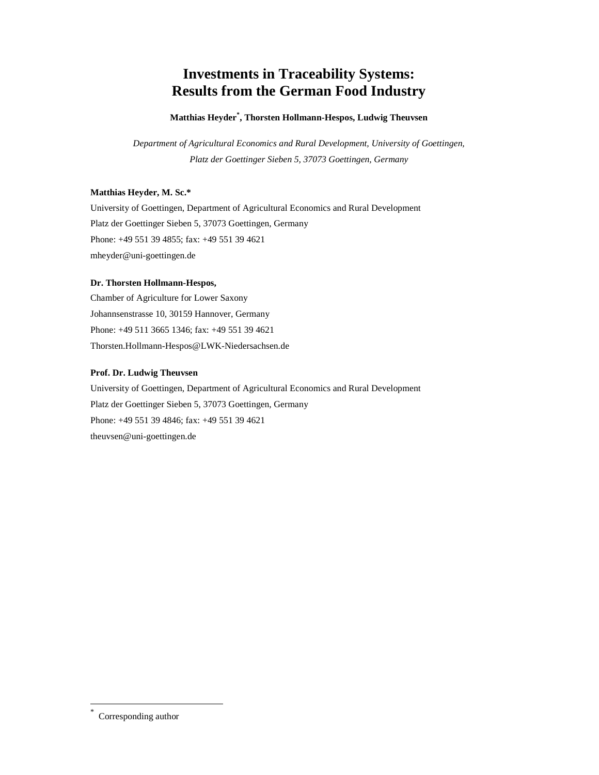# **Investments in Traceability Systems: Results from the German Food Industry**

#### **Matthias Heyder\* , Thorsten Hollmann-Hespos, Ludwig Theuvsen**

*Department of Agricultural Economics and Rural Development, University of Goettingen, Platz der Goettinger Sieben 5, 37073 Goettingen, Germany* 

#### **Matthias Heyder, M. Sc.\***

University of Goettingen, Department of Agricultural Economics and Rural Development Platz der Goettinger Sieben 5, 37073 Goettingen, Germany Phone: +49 551 39 4855; fax: +49 551 39 4621 mheyder@uni-goettingen.de

#### **Dr. Thorsten Hollmann-Hespos,**

Chamber of Agriculture for Lower Saxony Johannsenstrasse 10, 30159 Hannover, Germany Phone: +49 511 3665 1346; fax: +49 551 39 4621 Thorsten.Hollmann-Hespos@LWK-Niedersachsen.de

#### **Prof. Dr. Ludwig Theuvsen**

University of Goettingen, Department of Agricultural Economics and Rural Development Platz der Goettinger Sieben 5, 37073 Goettingen, Germany Phone: +49 551 39 4846; fax: +49 551 39 4621 theuvsen@uni-goettingen.de

-

<sup>\*</sup> Corresponding author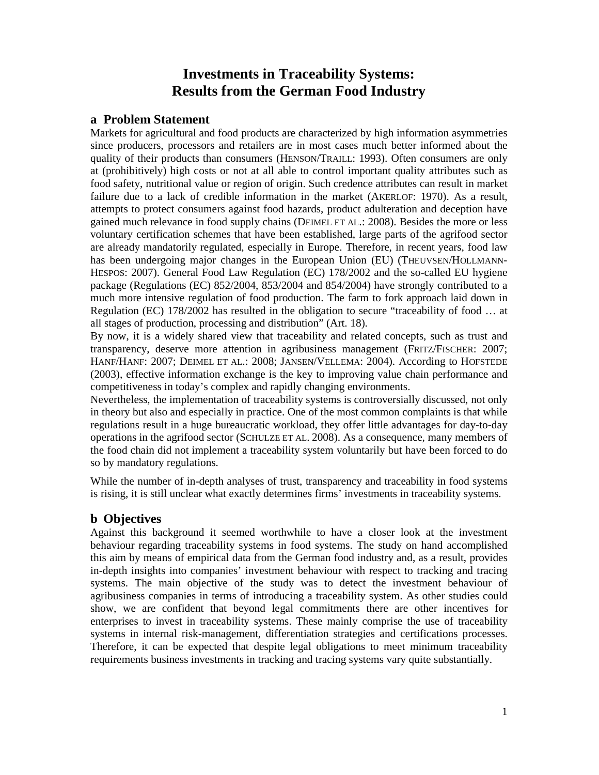## **Investments in Traceability Systems: Results from the German Food Industry**

### **a Problem Statement**

Markets for agricultural and food products are characterized by high information asymmetries since producers, processors and retailers are in most cases much better informed about the quality of their products than consumers (HENSON/TRAILL: 1993). Often consumers are only at (prohibitively) high costs or not at all able to control important quality attributes such as food safety, nutritional value or region of origin. Such credence attributes can result in market failure due to a lack of credible information in the market (AKERLOF: 1970). As a result, attempts to protect consumers against food hazards, product adulteration and deception have gained much relevance in food supply chains (DEIMEL ET AL.: 2008). Besides the more or less voluntary certification schemes that have been established, large parts of the agrifood sector are already mandatorily regulated, especially in Europe. Therefore, in recent years, food law has been undergoing major changes in the European Union (EU) (THEUVSEN/HOLLMANN-HESPOS: 2007). General Food Law Regulation (EC) 178/2002 and the so-called EU hygiene package (Regulations (EC) 852/2004, 853/2004 and 854/2004) have strongly contributed to a much more intensive regulation of food production. The farm to fork approach laid down in Regulation (EC) 178/2002 has resulted in the obligation to secure "traceability of food … at all stages of production, processing and distribution" (Art. 18).

By now, it is a widely shared view that traceability and related concepts, such as trust and transparency, deserve more attention in agribusiness management (FRITZ/FISCHER: 2007; HANF/HANF: 2007; DEIMEL ET AL.: 2008; JANSEN/VELLEMA: 2004). According to HOFSTEDE (2003), effective information exchange is the key to improving value chain performance and competitiveness in today's complex and rapidly changing environments.

Nevertheless, the implementation of traceability systems is controversially discussed, not only in theory but also and especially in practice. One of the most common complaints is that while regulations result in a huge bureaucratic workload, they offer little advantages for day-to-day operations in the agrifood sector (SCHULZE ET AL. 2008). As a consequence, many members of the food chain did not implement a traceability system voluntarily but have been forced to do so by mandatory regulations.

While the number of in-depth analyses of trust, transparency and traceability in food systems is rising, it is still unclear what exactly determines firms' investments in traceability systems.

### **b Objectives**

Against this background it seemed worthwhile to have a closer look at the investment behaviour regarding traceability systems in food systems. The study on hand accomplished this aim by means of empirical data from the German food industry and, as a result, provides in-depth insights into companies' investment behaviour with respect to tracking and tracing systems. The main objective of the study was to detect the investment behaviour of agribusiness companies in terms of introducing a traceability system. As other studies could show, we are confident that beyond legal commitments there are other incentives for enterprises to invest in traceability systems. These mainly comprise the use of traceability systems in internal risk-management, differentiation strategies and certifications processes. Therefore, it can be expected that despite legal obligations to meet minimum traceability requirements business investments in tracking and tracing systems vary quite substantially.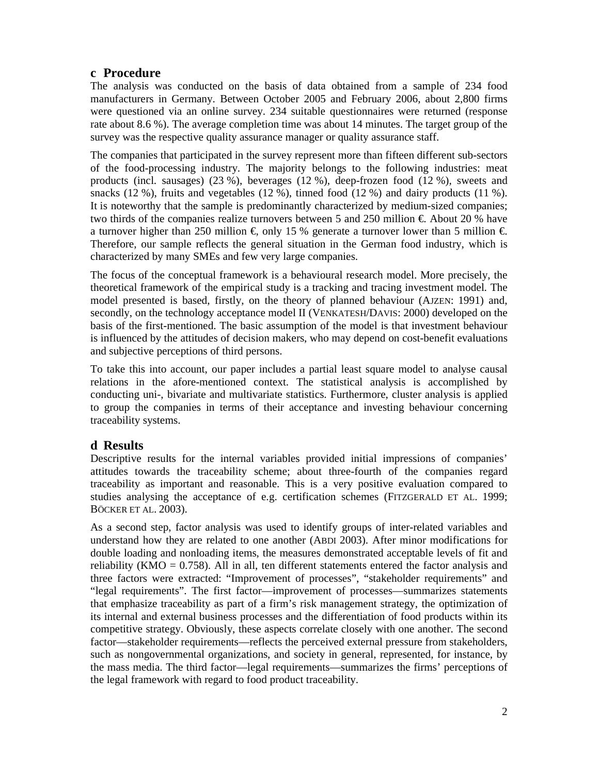## **c Procedure**

The analysis was conducted on the basis of data obtained from a sample of 234 food manufacturers in Germany. Between October 2005 and February 2006, about 2,800 firms were questioned via an online survey. 234 suitable questionnaires were returned (response rate about 8.6 %). The average completion time was about 14 minutes. The target group of the survey was the respective quality assurance manager or quality assurance staff.

The companies that participated in the survey represent more than fifteen different sub-sectors of the food-processing industry. The majority belongs to the following industries: meat products (incl. sausages) (23 %), beverages (12 %), deep-frozen food (12 %), sweets and snacks (12 %), fruits and vegetables (12 %), tinned food (12 %) and dairy products (11 %). It is noteworthy that the sample is predominantly characterized by medium-sized companies; two thirds of the companies realize turnovers between 5 and 250 million  $\epsilon$ . About 20 % have a turnover higher than 250 million  $\epsilon$ , only 15 % generate a turnover lower than 5 million  $\epsilon$ . Therefore, our sample reflects the general situation in the German food industry, which is characterized by many SMEs and few very large companies.

The focus of the conceptual framework is a behavioural research model. More precisely, the theoretical framework of the empirical study is a tracking and tracing investment model. The model presented is based, firstly, on the theory of planned behaviour (AJZEN: 1991) and, secondly, on the technology acceptance model II (VENKATESH/DAVIS: 2000) developed on the basis of the first-mentioned. The basic assumption of the model is that investment behaviour is influenced by the attitudes of decision makers, who may depend on cost-benefit evaluations and subjective perceptions of third persons.

To take this into account, our paper includes a partial least square model to analyse causal relations in the afore-mentioned context. The statistical analysis is accomplished by conducting uni-, bivariate and multivariate statistics. Furthermore, cluster analysis is applied to group the companies in terms of their acceptance and investing behaviour concerning traceability systems.

### **d Results**

Descriptive results for the internal variables provided initial impressions of companies' attitudes towards the traceability scheme; about three-fourth of the companies regard traceability as important and reasonable. This is a very positive evaluation compared to studies analysing the acceptance of e.g. certification schemes (FITZGERALD ET AL. 1999; BÖCKER ET AL. 2003).

As a second step, factor analysis was used to identify groups of inter-related variables and understand how they are related to one another (ABDI 2003). After minor modifications for double loading and nonloading items, the measures demonstrated acceptable levels of fit and reliability (KMO  $= 0.758$ ). All in all, ten different statements entered the factor analysis and three factors were extracted: "Improvement of processes", "stakeholder requirements" and "legal requirements". The first factor—improvement of processes—summarizes statements that emphasize traceability as part of a firm's risk management strategy, the optimization of its internal and external business processes and the differentiation of food products within its competitive strategy. Obviously, these aspects correlate closely with one another. The second factor—stakeholder requirements—reflects the perceived external pressure from stakeholders, such as nongovernmental organizations, and society in general, represented, for instance, by the mass media. The third factor—legal requirements—summarizes the firms' perceptions of the legal framework with regard to food product traceability.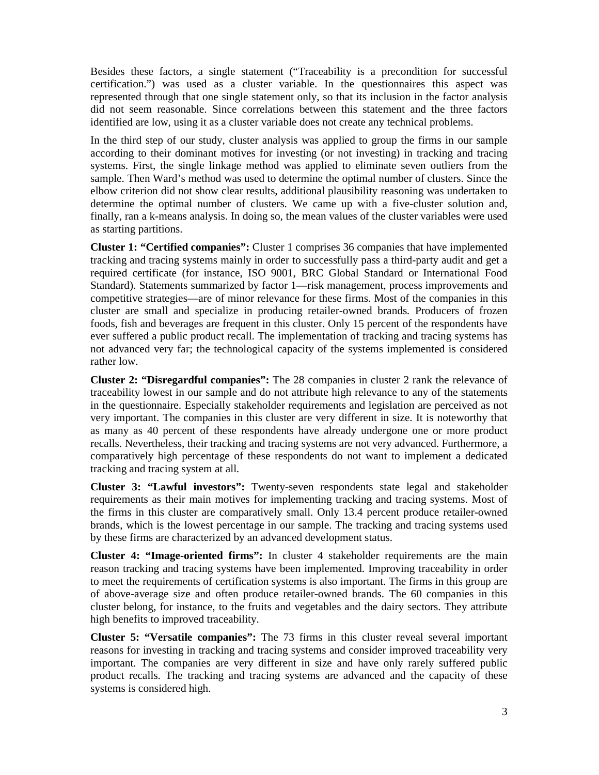Besides these factors, a single statement ("Traceability is a precondition for successful certification.") was used as a cluster variable. In the questionnaires this aspect was represented through that one single statement only, so that its inclusion in the factor analysis did not seem reasonable. Since correlations between this statement and the three factors identified are low, using it as a cluster variable does not create any technical problems.

In the third step of our study, cluster analysis was applied to group the firms in our sample according to their dominant motives for investing (or not investing) in tracking and tracing systems. First, the single linkage method was applied to eliminate seven outliers from the sample. Then Ward's method was used to determine the optimal number of clusters. Since the elbow criterion did not show clear results, additional plausibility reasoning was undertaken to determine the optimal number of clusters. We came up with a five-cluster solution and, finally, ran a k-means analysis. In doing so, the mean values of the cluster variables were used as starting partitions.

**Cluster 1: "Certified companies":** Cluster 1 comprises 36 companies that have implemented tracking and tracing systems mainly in order to successfully pass a third-party audit and get a required certificate (for instance, ISO 9001, BRC Global Standard or International Food Standard). Statements summarized by factor 1—risk management, process improvements and competitive strategies—are of minor relevance for these firms. Most of the companies in this cluster are small and specialize in producing retailer-owned brands. Producers of frozen foods, fish and beverages are frequent in this cluster. Only 15 percent of the respondents have ever suffered a public product recall. The implementation of tracking and tracing systems has not advanced very far; the technological capacity of the systems implemented is considered rather low.

**Cluster 2: "Disregardful companies":** The 28 companies in cluster 2 rank the relevance of traceability lowest in our sample and do not attribute high relevance to any of the statements in the questionnaire. Especially stakeholder requirements and legislation are perceived as not very important. The companies in this cluster are very different in size. It is noteworthy that as many as 40 percent of these respondents have already undergone one or more product recalls. Nevertheless, their tracking and tracing systems are not very advanced. Furthermore, a comparatively high percentage of these respondents do not want to implement a dedicated tracking and tracing system at all.

**Cluster 3: "Lawful investors":** Twenty-seven respondents state legal and stakeholder requirements as their main motives for implementing tracking and tracing systems. Most of the firms in this cluster are comparatively small. Only 13.4 percent produce retailer-owned brands, which is the lowest percentage in our sample. The tracking and tracing systems used by these firms are characterized by an advanced development status.

**Cluster 4: "Image-oriented firms":** In cluster 4 stakeholder requirements are the main reason tracking and tracing systems have been implemented. Improving traceability in order to meet the requirements of certification systems is also important. The firms in this group are of above-average size and often produce retailer-owned brands. The 60 companies in this cluster belong, for instance, to the fruits and vegetables and the dairy sectors. They attribute high benefits to improved traceability.

**Cluster 5: "Versatile companies":** The 73 firms in this cluster reveal several important reasons for investing in tracking and tracing systems and consider improved traceability very important. The companies are very different in size and have only rarely suffered public product recalls. The tracking and tracing systems are advanced and the capacity of these systems is considered high.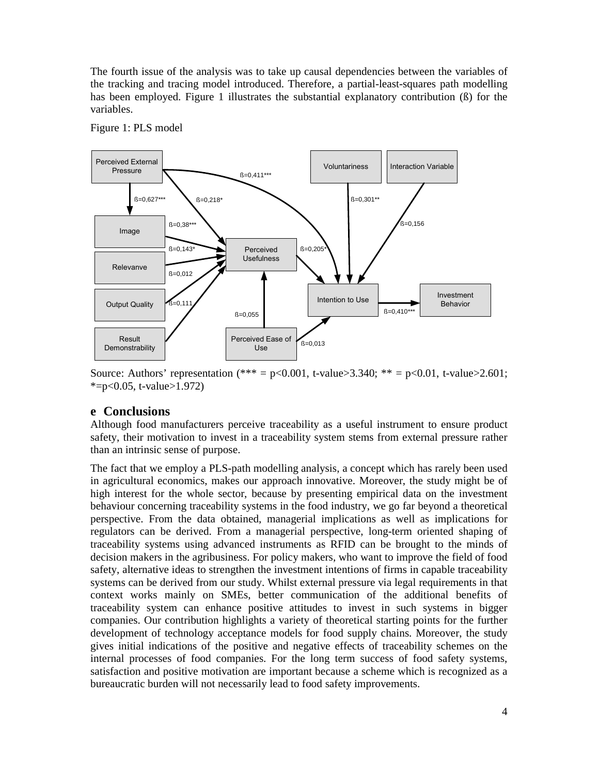The fourth issue of the analysis was to take up causal dependencies between the variables of the tracking and tracing model introduced. Therefore, a partial-least-squares path modelling has been employed. Figure 1 illustrates the substantial explanatory contribution (ß) for the variables.



Figure 1: PLS model

Source: Authors' representation  $(*** = p<0.001$ , t-value>3.340; \*\* = p<0.01, t-value>2.601;  $* = p < 0.05$ , t-value > 1.972)

### **e Conclusions**

Although food manufacturers perceive traceability as a useful instrument to ensure product safety, their motivation to invest in a traceability system stems from external pressure rather than an intrinsic sense of purpose.

The fact that we employ a PLS-path modelling analysis, a concept which has rarely been used in agricultural economics, makes our approach innovative. Moreover, the study might be of high interest for the whole sector, because by presenting empirical data on the investment behaviour concerning traceability systems in the food industry, we go far beyond a theoretical perspective. From the data obtained, managerial implications as well as implications for regulators can be derived. From a managerial perspective, long-term oriented shaping of traceability systems using advanced instruments as RFID can be brought to the minds of decision makers in the agribusiness. For policy makers, who want to improve the field of food safety, alternative ideas to strengthen the investment intentions of firms in capable traceability systems can be derived from our study. Whilst external pressure via legal requirements in that context works mainly on SMEs, better communication of the additional benefits of traceability system can enhance positive attitudes to invest in such systems in bigger companies. Our contribution highlights a variety of theoretical starting points for the further development of technology acceptance models for food supply chains. Moreover, the study gives initial indications of the positive and negative effects of traceability schemes on the internal processes of food companies. For the long term success of food safety systems, satisfaction and positive motivation are important because a scheme which is recognized as a bureaucratic burden will not necessarily lead to food safety improvements.